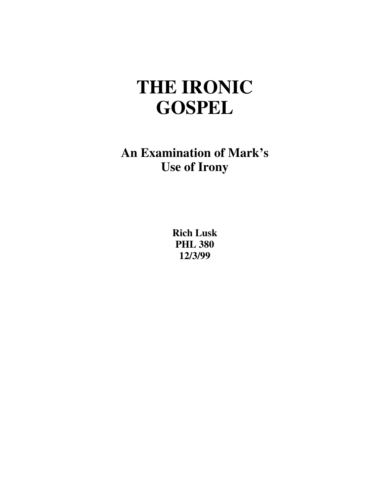# **THE IRONIC GOSPEL**

**An Examination of Mark's Use of Irony** 

> **Rich Lusk PHL 380 12/3/99**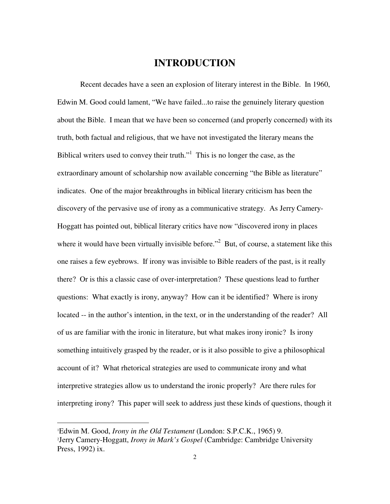### **INTRODUCTION**

 Recent decades have a seen an explosion of literary interest in the Bible. In 1960, Edwin M. Good could lament, "We have failed...to raise the genuinely literary question about the Bible. I mean that we have been so concerned (and properly concerned) with its truth, both factual and religious, that we have not investigated the literary means the Biblical writers used to convey their truth."<sup>1</sup> This is no longer the case, as the extraordinary amount of scholarship now available concerning "the Bible as literature" indicates. One of the major breakthroughs in biblical literary criticism has been the discovery of the pervasive use of irony as a communicative strategy. As Jerry Camery-Hoggatt has pointed out, biblical literary critics have now "discovered irony in places where it would have been virtually invisible before."<sup>2</sup> But, of course, a statement like this one raises a few eyebrows. If irony was invisible to Bible readers of the past, is it really there? Or is this a classic case of over-interpretation? These questions lead to further questions: What exactly is irony, anyway? How can it be identified? Where is irony located -- in the author's intention, in the text, or in the understanding of the reader? All of us are familiar with the ironic in literature, but what makes irony ironic? Is irony something intuitively grasped by the reader, or is it also possible to give a philosophical account of it? What rhetorical strategies are used to communicate irony and what interpretive strategies allow us to understand the ironic properly? Are there rules for interpreting irony? This paper will seek to address just these kinds of questions, though it

<sup>1</sup>Edwin M. Good, *Irony in the Old Testament* (London: S.P.C.K., 1965) 9. <sup>2</sup>Jerry Camery-Hoggatt, *Irony in Mark's Gospel* (Cambridge: Cambridge University Press, 1992) ix.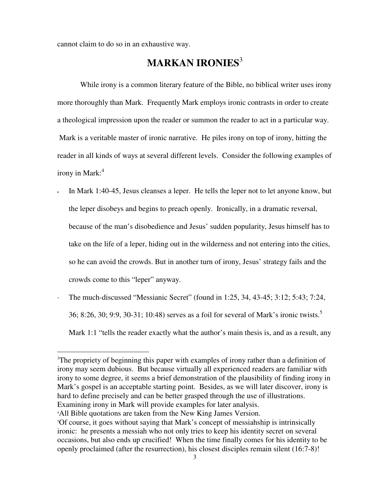cannot claim to do so in an exhaustive way.

## **MARKAN IRONIES**<sup>3</sup>

 While irony is a common literary feature of the Bible, no biblical writer uses irony more thoroughly than Mark. Frequently Mark employs ironic contrasts in order to create a theological impression upon the reader or summon the reader to act in a particular way. Mark is a veritable master of ironic narrative. He piles irony on top of irony, hitting the reader in all kinds of ways at several different levels. Consider the following examples of irony in Mark: $4$ 

- In Mark 1:40-45, Jesus cleanses a leper. He tells the leper not to let anyone know, but the leper disobeys and begins to preach openly. Ironically, in a dramatic reversal, because of the man's disobedience and Jesus' sudden popularity, Jesus himself has to take on the life of a leper, hiding out in the wilderness and not entering into the cities, so he can avoid the crowds. But in another turn of irony, Jesus' strategy fails and the crowds come to this "leper" anyway.
- · The much-discussed "Messianic Secret" (found in 1:25, 34, 43-45; 3:12; 5:43; 7:24, 36; 8:26, 30; 9:9, 30-31; 10:48) serves as a foil for several of Mark's ironic twists.<sup>5</sup> Mark 1:1 "tells the reader exactly what the author's main thesis is, and as a result, any

<sup>&</sup>lt;sup>3</sup>The propriety of beginning this paper with examples of irony rather than a definition of irony may seem dubious. But because virtually all experienced readers are familiar with irony to some degree, it seems a brief demonstration of the plausibility of finding irony in Mark's gospel is an acceptable starting point. Besides, as we will later discover, irony is hard to define precisely and can be better grasped through the use of illustrations. Examining irony in Mark will provide examples for later analysis.

<sup>4</sup>All Bible quotations are taken from the New King James Version.

<sup>5</sup>Of course, it goes without saying that Mark's concept of messiahship is intrinsically ironic: he presents a messiah who not only tries to keep his identity secret on several occasions, but also ends up crucified! When the time finally comes for his identity to be openly proclaimed (after the resurrection), his closest disciples remain silent (16:7-8)!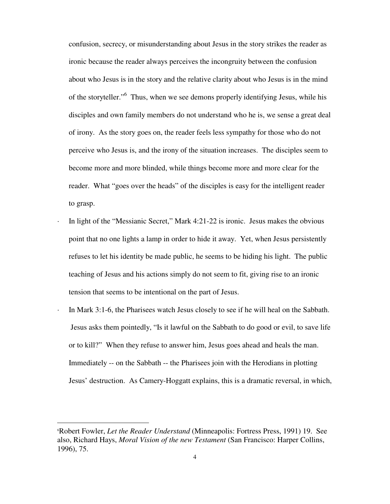confusion, secrecy, or misunderstanding about Jesus in the story strikes the reader as ironic because the reader always perceives the incongruity between the confusion about who Jesus is in the story and the relative clarity about who Jesus is in the mind of the storyteller."<sup>6</sup> Thus, when we see demons properly identifying Jesus, while his disciples and own family members do not understand who he is, we sense a great deal of irony. As the story goes on, the reader feels less sympathy for those who do not perceive who Jesus is, and the irony of the situation increases. The disciples seem to become more and more blinded, while things become more and more clear for the reader. What "goes over the heads" of the disciples is easy for the intelligent reader to grasp.

- In light of the "Messianic Secret," Mark 4:21-22 is ironic. Jesus makes the obvious point that no one lights a lamp in order to hide it away. Yet, when Jesus persistently refuses to let his identity be made public, he seems to be hiding his light. The public teaching of Jesus and his actions simply do not seem to fit, giving rise to an ironic tension that seems to be intentional on the part of Jesus.
- · In Mark 3:1-6, the Pharisees watch Jesus closely to see if he will heal on the Sabbath. Jesus asks them pointedly, "Is it lawful on the Sabbath to do good or evil, to save life or to kill?" When they refuse to answer him, Jesus goes ahead and heals the man. Immediately -- on the Sabbath -- the Pharisees join with the Herodians in plotting Jesus' destruction. As Camery-Hoggatt explains, this is a dramatic reversal, in which,

<sup>6</sup>Robert Fowler, *Let the Reader Understand* (Minneapolis: Fortress Press, 1991) 19. See also, Richard Hays, *Moral Vision of the new Testament* (San Francisco: Harper Collins, 1996), 75.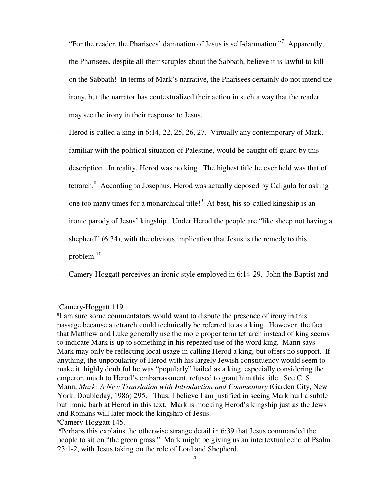"For the reader, the Pharisees' damnation of Jesus is self-damnation."<sup>7</sup> Apparently, the Pharisees, despite all their scruples about the Sabbath, believe it is lawful to kill on the Sabbath! In terms of Mark's narrative, the Pharisees certainly do not intend the irony, but the narrator has contextualized their action in such a way that the reader may see the irony in their response to Jesus.

Herod is called a king in 6:14, 22, 25, 26, 27. Virtually any contemporary of Mark, familiar with the political situation of Palestine, would be caught off guard by this description. In reality, Herod was no king. The highest title he ever held was that of tetrarch.<sup>8</sup> According to Josephus, Herod was actually deposed by Caligula for asking one too many times for a monarchical title! $9$  At best, his so-called kingship is an ironic parody of Jesus' kingship. Under Herod the people are "like sheep not having a shepherd" (6:34), with the obvious implication that Jesus is the remedy to this problem.<sup>10</sup>

Camery-Hoggatt perceives an ironic style employed in 6:14-29. John the Baptist and

 $\overline{a}$ 

<sup>9</sup>Camery-Hoggatt 145.

<sup>7</sup>Camery-Hoggatt 119.

<sup>8</sup> I am sure some commentators would want to dispute the presence of irony in this passage because a tetrarch could technically be referred to as a king. However, the fact that Matthew and Luke generally use the more proper term tetrarch instead of king seems to indicate Mark is up to something in his repeated use of the word king. Mann says Mark may only be reflecting local usage in calling Herod a king, but offers no support. If anything, the unpopularity of Herod with his largely Jewish constituency would seem to make it highly doubtful he was "popularly" hailed as a king, especially considering the emperor, much to Herod's embarrassment, refused to grant him this title. See C. S. Mann, *Mark: A New Translation with Introduction and Commentary* (Garden City, New York: Doubleday, 1986) 295. Thus, I believe I am justified in seeing Mark hurl a subtle but ironic barb at Herod in this text. Mark is mocking Herod's kingship just as the Jews and Romans will later mock the kingship of Jesus.

<sup>&</sup>lt;sup>10</sup>Perhaps this explains the otherwise strange detail in 6:39 that Jesus commanded the people to sit on "the green grass." Mark might be giving us an intertextual echo of Psalm 23:1-2, with Jesus taking on the role of Lord and Shepherd.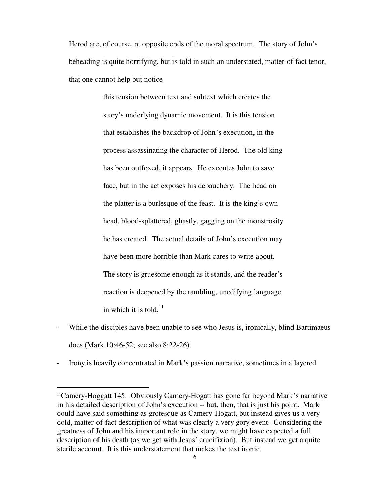Herod are, of course, at opposite ends of the moral spectrum. The story of John's beheading is quite horrifying, but is told in such an understated, matter-of fact tenor, that one cannot help but notice

> this tension between text and subtext which creates the story's underlying dynamic movement. It is this tension that establishes the backdrop of John's execution, in the process assassinating the character of Herod. The old king has been outfoxed, it appears. He executes John to save face, but in the act exposes his debauchery. The head on the platter is a burlesque of the feast. It is the king's own head, blood-splattered, ghastly, gagging on the monstrosity he has created. The actual details of John's execution may have been more horrible than Mark cares to write about. The story is gruesome enough as it stands, and the reader's reaction is deepened by the rambling, unedifying language in which it is told. $^{11}$

- While the disciples have been unable to see who Jesus is, ironically, blind Bartimaeus does (Mark 10:46-52; see also 8:22-26).
- Irony is heavily concentrated in Mark's passion narrative, sometimes in a layered

<sup>11</sup>Camery-Hoggatt 145. Obviously Camery-Hogatt has gone far beyond Mark's narrative in his detailed description of John's execution -- but, then, that is just his point. Mark could have said something as grotesque as Camery-Hogatt, but instead gives us a very cold, matter-of-fact description of what was clearly a very gory event. Considering the greatness of John and his important role in the story, we might have expected a full description of his death (as we get with Jesus' crucifixion). But instead we get a quite sterile account. It is this understatement that makes the text ironic.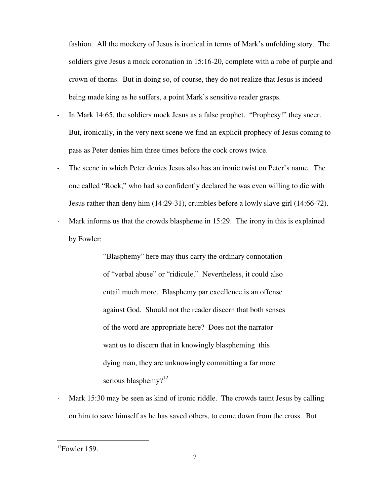fashion. All the mockery of Jesus is ironical in terms of Mark's unfolding story. The soldiers give Jesus a mock coronation in 15:16-20, complete with a robe of purple and crown of thorns. But in doing so, of course, they do not realize that Jesus is indeed being made king as he suffers, a point Mark's sensitive reader grasps.

- In Mark 14:65, the soldiers mock Jesus as a false prophet. "Prophesy!" they sneer. But, ironically, in the very next scene we find an explicit prophecy of Jesus coming to pass as Peter denies him three times before the cock crows twice.
- The scene in which Peter denies Jesus also has an ironic twist on Peter's name. The one called "Rock," who had so confidently declared he was even willing to die with Jesus rather than deny him (14:29-31), crumbles before a lowly slave girl (14:66-72). Mark informs us that the crowds blaspheme in  $15:29$ . The irony in this is explained by Fowler:

 "Blasphemy" here may thus carry the ordinary connotation of "verbal abuse" or "ridicule." Nevertheless, it could also entail much more. Blasphemy par excellence is an offense against God. Should not the reader discern that both senses of the word are appropriate here? Does not the narrator want us to discern that in knowingly blaspheming this dying man, they are unknowingly committing a far more serious blasphemy?<sup>12</sup>

Mark 15:30 may be seen as kind of ironic riddle. The crowds taunt Jesus by calling on him to save himself as he has saved others, to come down from the cross. But

 $12$ Fowler 159.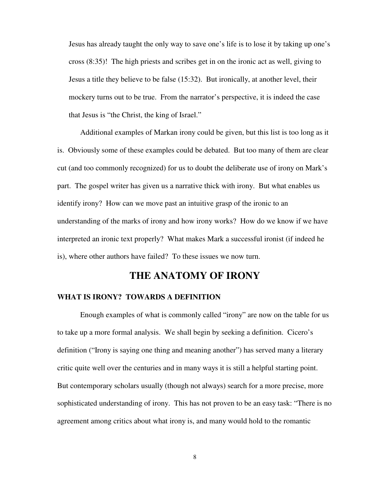Jesus has already taught the only way to save one's life is to lose it by taking up one's cross (8:35)! The high priests and scribes get in on the ironic act as well, giving to Jesus a title they believe to be false (15:32). But ironically, at another level, their mockery turns out to be true. From the narrator's perspective, it is indeed the case that Jesus is "the Christ, the king of Israel."

 Additional examples of Markan irony could be given, but this list is too long as it is. Obviously some of these examples could be debated. But too many of them are clear cut (and too commonly recognized) for us to doubt the deliberate use of irony on Mark's part. The gospel writer has given us a narrative thick with irony. But what enables us identify irony? How can we move past an intuitive grasp of the ironic to an understanding of the marks of irony and how irony works? How do we know if we have interpreted an ironic text properly? What makes Mark a successful ironist (if indeed he is), where other authors have failed? To these issues we now turn.

## **THE ANATOMY OF IRONY**

#### **WHAT IS IRONY? TOWARDS A DEFINITION**

 Enough examples of what is commonly called "irony" are now on the table for us to take up a more formal analysis. We shall begin by seeking a definition. Cicero's definition ("Irony is saying one thing and meaning another") has served many a literary critic quite well over the centuries and in many ways it is still a helpful starting point. But contemporary scholars usually (though not always) search for a more precise, more sophisticated understanding of irony. This has not proven to be an easy task: "There is no agreement among critics about what irony is, and many would hold to the romantic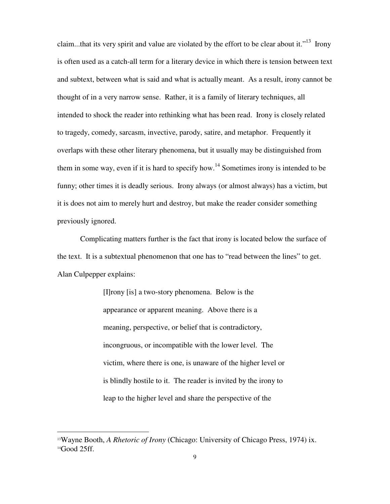claim...that its very spirit and value are violated by the effort to be clear about it.<sup> $13$ </sup> Irony is often used as a catch-all term for a literary device in which there is tension between text and subtext, between what is said and what is actually meant. As a result, irony cannot be thought of in a very narrow sense. Rather, it is a family of literary techniques, all intended to shock the reader into rethinking what has been read. Irony is closely related to tragedy, comedy, sarcasm, invective, parody, satire, and metaphor. Frequently it overlaps with these other literary phenomena, but it usually may be distinguished from them in some way, even if it is hard to specify how.<sup>14</sup> Sometimes irony is intended to be funny; other times it is deadly serious. Irony always (or almost always) has a victim, but it is does not aim to merely hurt and destroy, but make the reader consider something previously ignored.

 Complicating matters further is the fact that irony is located below the surface of the text. It is a subtextual phenomenon that one has to "read between the lines" to get. Alan Culpepper explains:

> [I]rony [is] a two-story phenomena. Below is the appearance or apparent meaning. Above there is a meaning, perspective, or belief that is contradictory, incongruous, or incompatible with the lower level. The victim, where there is one, is unaware of the higher level or is blindly hostile to it. The reader is invited by the irony to leap to the higher level and share the perspective of the

<sup>13</sup>Wayne Booth, *A Rhetoric of Irony* (Chicago: University of Chicago Press, 1974) ix. 14Good 25ff.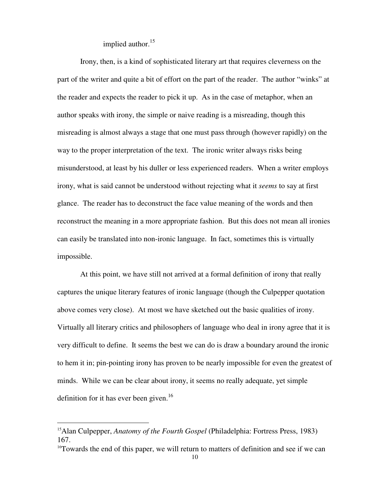implied author. $15$ 

 Irony, then, is a kind of sophisticated literary art that requires cleverness on the part of the writer and quite a bit of effort on the part of the reader. The author "winks" at the reader and expects the reader to pick it up. As in the case of metaphor, when an author speaks with irony, the simple or naive reading is a misreading, though this misreading is almost always a stage that one must pass through (however rapidly) on the way to the proper interpretation of the text. The ironic writer always risks being misunderstood, at least by his duller or less experienced readers. When a writer employs irony, what is said cannot be understood without rejecting what it *seems* to say at first glance. The reader has to deconstruct the face value meaning of the words and then reconstruct the meaning in a more appropriate fashion. But this does not mean all ironies can easily be translated into non-ironic language. In fact, sometimes this is virtually impossible.

 At this point, we have still not arrived at a formal definition of irony that really captures the unique literary features of ironic language (though the Culpepper quotation above comes very close). At most we have sketched out the basic qualities of irony. Virtually all literary critics and philosophers of language who deal in irony agree that it is very difficult to define. It seems the best we can do is draw a boundary around the ironic to hem it in; pin-pointing irony has proven to be nearly impossible for even the greatest of minds. While we can be clear about irony, it seems no really adequate, yet simple definition for it has ever been given.<sup>16</sup>

<sup>15</sup>Alan Culpepper, *Anatomy of the Fourth Gospel* (Philadelphia: Fortress Press, 1983) 167.

<sup>&</sup>lt;sup>16</sup>Towards the end of this paper, we will return to matters of definition and see if we can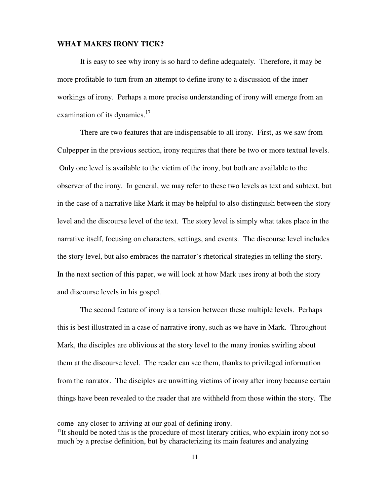#### **WHAT MAKES IRONY TICK?**

 It is easy to see why irony is so hard to define adequately. Therefore, it may be more profitable to turn from an attempt to define irony to a discussion of the inner workings of irony. Perhaps a more precise understanding of irony will emerge from an examination of its dynamics. $17$ 

 There are two features that are indispensable to all irony. First, as we saw from Culpepper in the previous section, irony requires that there be two or more textual levels. Only one level is available to the victim of the irony, but both are available to the observer of the irony. In general, we may refer to these two levels as text and subtext, but in the case of a narrative like Mark it may be helpful to also distinguish between the story level and the discourse level of the text. The story level is simply what takes place in the narrative itself, focusing on characters, settings, and events. The discourse level includes the story level, but also embraces the narrator's rhetorical strategies in telling the story. In the next section of this paper, we will look at how Mark uses irony at both the story and discourse levels in his gospel.

 The second feature of irony is a tension between these multiple levels. Perhaps this is best illustrated in a case of narrative irony, such as we have in Mark. Throughout Mark, the disciples are oblivious at the story level to the many ironies swirling about them at the discourse level. The reader can see them, thanks to privileged information from the narrator. The disciples are unwitting victims of irony after irony because certain things have been revealed to the reader that are withheld from those within the story. The

j

come any closer to arriving at our goal of defining irony.

 $17$ It should be noted this is the procedure of most literary critics, who explain irony not so much by a precise definition, but by characterizing its main features and analyzing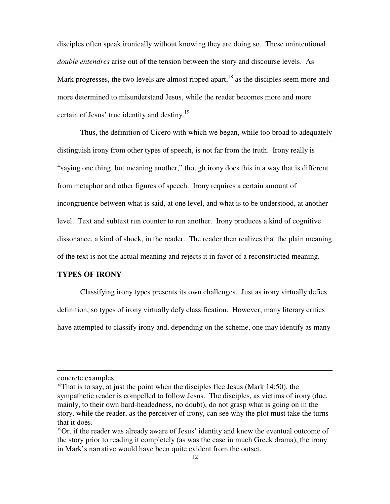disciples often speak ironically without knowing they are doing so. These unintentional *double entendres* arise out of the tension between the story and discourse levels. As Mark progresses, the two levels are almost ripped apart, $18$  as the disciples seem more and more determined to misunderstand Jesus, while the reader becomes more and more certain of Jesus' true identity and destiny.<sup>19</sup>

 Thus, the definition of Cicero with which we began, while too broad to adequately distinguish irony from other types of speech, is not far from the truth. Irony really is "saying one thing, but meaning another," though irony does this in a way that is different from metaphor and other figures of speech. Irony requires a certain amount of incongruence between what is said, at one level, and what is to be understood, at another level. Text and subtext run counter to run another. Irony produces a kind of cognitive dissonance, a kind of shock, in the reader. The reader then realizes that the plain meaning of the text is not the actual meaning and rejects it in favor of a reconstructed meaning.

#### **TYPES OF IRONY**

 Classifying irony types presents its own challenges. Just as irony virtually defies definition, so types of irony virtually defy classification. However, many literary critics have attempted to classify irony and, depending on the scheme, one may identify as many

concrete examples.

<sup>&</sup>lt;sup>18</sup>That is to say, at just the point when the disciples flee Jesus (Mark 14:50), the sympathetic reader is compelled to follow Jesus. The disciples, as victims of irony (due, mainly, to their own hard-headedness, no doubt), do not grasp what is going on in the story, while the reader, as the perceiver of irony, can see why the plot must take the turns that it does.

 $19$ Or, if the reader was already aware of Jesus' identity and knew the eventual outcome of the story prior to reading it completely (as was the case in much Greek drama), the irony in Mark's narrative would have been quite evident from the outset.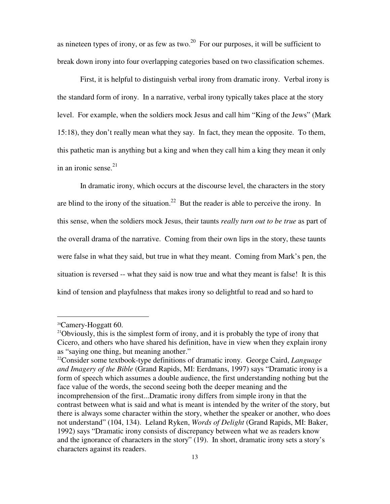as nineteen types of irony, or as few as two.<sup>20</sup> For our purposes, it will be sufficient to break down irony into four overlapping categories based on two classification schemes.

 First, it is helpful to distinguish verbal irony from dramatic irony. Verbal irony is the standard form of irony. In a narrative, verbal irony typically takes place at the story level. For example, when the soldiers mock Jesus and call him "King of the Jews" (Mark 15:18), they don't really mean what they say. In fact, they mean the opposite. To them, this pathetic man is anything but a king and when they call him a king they mean it only in an ironic sense. $21$ 

 In dramatic irony, which occurs at the discourse level, the characters in the story are blind to the irony of the situation.<sup>22</sup> But the reader is able to perceive the irony. In this sense, when the soldiers mock Jesus, their taunts *really turn out to be true* as part of the overall drama of the narrative. Coming from their own lips in the story, these taunts were false in what they said, but true in what they meant. Coming from Mark's pen, the situation is reversed -- what they said is now true and what they meant is false! It is this kind of tension and playfulness that makes irony so delightful to read and so hard to

<sup>20</sup>Camery-Hoggatt 60.

 $21$ Obviously, this is the simplest form of irony, and it is probably the type of irony that Cicero, and others who have shared his definition, have in view when they explain irony as "saying one thing, but meaning another."

<sup>22</sup>Consider some textbook-type definitions of dramatic irony. George Caird, *Language and Imagery of the Bible* (Grand Rapids, MI: Eerdmans, 1997) says "Dramatic irony is a form of speech which assumes a double audience, the first understanding nothing but the face value of the words, the second seeing both the deeper meaning and the incomprehension of the first...Dramatic irony differs from simple irony in that the contrast between what is said and what is meant is intended by the writer of the story, but there is always some character within the story, whether the speaker or another, who does not understand" (104, 134). Leland Ryken, *Words of Delight* (Grand Rapids, MI: Baker, 1992) says "Dramatic irony consists of discrepancy between what we as readers know and the ignorance of characters in the story" (19). In short, dramatic irony sets a story's characters against its readers.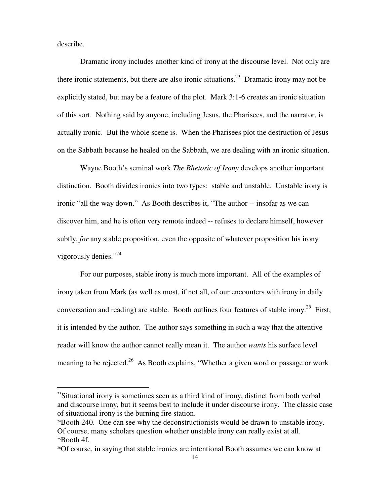describe.

 $\overline{a}$ 

 Dramatic irony includes another kind of irony at the discourse level. Not only are there ironic statements, but there are also ironic situations.<sup>23</sup> Dramatic irony may not be explicitly stated, but may be a feature of the plot. Mark 3:1-6 creates an ironic situation of this sort. Nothing said by anyone, including Jesus, the Pharisees, and the narrator, is actually ironic. But the whole scene is. When the Pharisees plot the destruction of Jesus on the Sabbath because he healed on the Sabbath, we are dealing with an ironic situation.

 Wayne Booth's seminal work *The Rhetoric of Irony* develops another important distinction. Booth divides ironies into two types: stable and unstable. Unstable irony is ironic "all the way down." As Booth describes it, "The author -- insofar as we can discover him, and he is often very remote indeed -- refuses to declare himself, however subtly, *for* any stable proposition, even the opposite of whatever proposition his irony vigorously denies."<sup>24</sup>

 For our purposes, stable irony is much more important. All of the examples of irony taken from Mark (as well as most, if not all, of our encounters with irony in daily conversation and reading) are stable. Booth outlines four features of stable irony.<sup>25</sup> First, it is intended by the author. The author says something in such a way that the attentive reader will know the author cannot really mean it. The author *wants* his surface level meaning to be rejected.<sup>26</sup> As Booth explains, "Whether a given word or passage or work

 $23$ Situational irony is sometimes seen as a third kind of irony, distinct from both verbal and discourse irony, but it seems best to include it under discourse irony. The classic case of situational irony is the burning fire station.

 $24$ Booth 240. One can see why the deconstructionists would be drawn to unstable irony. Of course, many scholars question whether unstable irony can really exist at all.  $25$ Booth 4f.

<sup>26</sup>Of course, in saying that stable ironies are intentional Booth assumes we can know at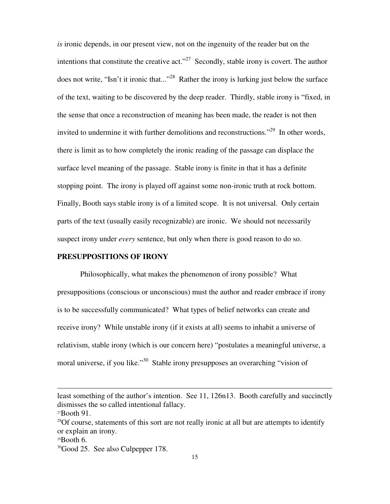*is* ironic depends, in our present view, not on the ingenuity of the reader but on the intentions that constitute the creative act."<sup>27</sup> Secondly, stable irony is covert. The author does not write, "Isn't it ironic that..."<sup>28</sup> Rather the irony is lurking just below the surface of the text, waiting to be discovered by the deep reader. Thirdly, stable irony is "fixed, in the sense that once a reconstruction of meaning has been made, the reader is not then invited to undermine it with further demolitions and reconstructions."<sup>29</sup> In other words, there is limit as to how completely the ironic reading of the passage can displace the surface level meaning of the passage. Stable irony is finite in that it has a definite stopping point. The irony is played off against some non-ironic truth at rock bottom. Finally, Booth says stable irony is of a limited scope. It is not universal. Only certain parts of the text (usually easily recognizable) are ironic. We should not necessarily suspect irony under *every* sentence, but only when there is good reason to do so.

#### **PRESUPPOSITIONS OF IRONY**

 Philosophically, what makes the phenomenon of irony possible? What presuppositions (conscious or unconscious) must the author and reader embrace if irony is to be successfully communicated? What types of belief networks can create and receive irony? While unstable irony (if it exists at all) seems to inhabit a universe of relativism, stable irony (which is our concern here) "postulates a meaningful universe, a moral universe, if you like."<sup>30</sup> Stable irony presupposes an overarching "vision of

l

least something of the author's intention. See 11, 126n13. Booth carefully and succinctly dismisses the so called intentional fallacy.

 $27$ Booth 91.

 $28$ Of course, statements of this sort are not really ironic at all but are attempts to identify or explain an irony.

 $29$ Booth 6.

<sup>&</sup>lt;sup>30</sup>Good 25. See also Culpepper 178.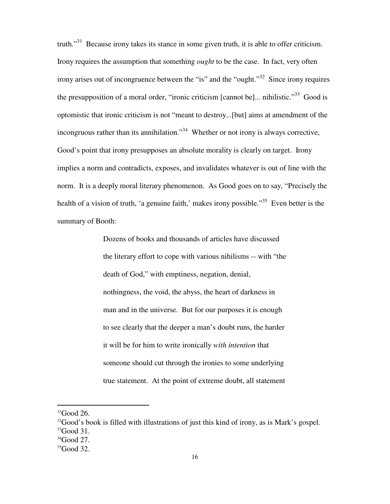truth."<sup>31</sup> Because irony takes its stance in some given truth, it is able to offer criticism. Irony requires the assumption that something *ought* to be the case. In fact, very often irony arises out of incongruence between the "is" and the "ought."<sup>32</sup> Since irony requires the presupposition of a moral order, "ironic criticism [cannot be]... nihilistic."<sup>33</sup> Good is optomistic that ironic criticism is not "meant to destroy...[but] aims at amendment of the incongruous rather than its annihilation.<sup>34</sup> Whether or not irony is always corrective, Good's point that irony presupposes an absolute morality is clearly on target. Irony implies a norm and contradicts, exposes, and invalidates whatever is out of line with the norm. It is a deeply moral literary phenomenon. As Good goes on to say, "Precisely the health of a vision of truth, 'a genuine faith,' makes irony possible."<sup>35</sup> Even better is the summary of Booth:

> Dozens of books and thousands of articles have discussed the literary effort to cope with various nihilisms -- with "the death of God," with emptiness, negation, denial, nothingness, the void, the abyss, the heart of darkness in man and in the universe. But for our purposes it is enough to see clearly that the deeper a man's doubt runs, the harder it will be for him to write ironically *with intention* that someone should cut through the ironies to some underlying true statement. At the point of extreme doubt, all statement

 $31$ Good 26.

 $32$ Good's book is filled with illustrations of just this kind of irony, as is Mark's gospel.

 $33$ Good 31.

 $34$ Good 27.

 $35$ Good 32.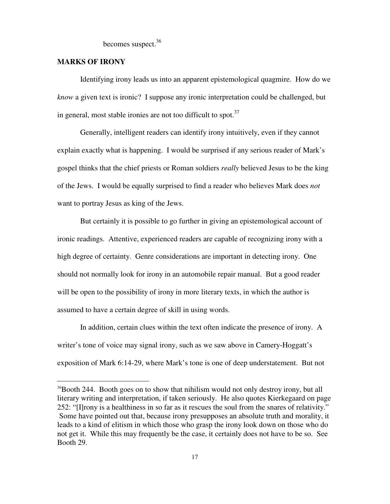becomes suspect.<sup>36</sup>

#### **MARKS OF IRONY**

 $\overline{a}$ 

 Identifying irony leads us into an apparent epistemological quagmire. How do we *know* a given text is ironic? I suppose any ironic interpretation could be challenged, but in general, most stable ironies are not too difficult to spot. $37$ 

 Generally, intelligent readers can identify irony intuitively, even if they cannot explain exactly what is happening. I would be surprised if any serious reader of Mark's gospel thinks that the chief priests or Roman soldiers *really* believed Jesus to be the king of the Jews. I would be equally surprised to find a reader who believes Mark does *not*  want to portray Jesus as king of the Jews.

 But certainly it is possible to go further in giving an epistemological account of ironic readings. Attentive, experienced readers are capable of recognizing irony with a high degree of certainty. Genre considerations are important in detecting irony. One should not normally look for irony in an automobile repair manual. But a good reader will be open to the possibility of irony in more literary texts, in which the author is assumed to have a certain degree of skill in using words.

 In addition, certain clues within the text often indicate the presence of irony. A writer's tone of voice may signal irony, such as we saw above in Camery-Hoggatt's exposition of Mark 6:14-29, where Mark's tone is one of deep understatement. But not

<sup>&</sup>lt;sup>36</sup>Booth 244. Booth goes on to show that nihilism would not only destroy irony, but all literary writing and interpretation, if taken seriously. He also quotes Kierkegaard on page 252: "[I]rony is a healthiness in so far as it rescues the soul from the snares of relativity." Some have pointed out that, because irony presupposes an absolute truth and morality, it leads to a kind of elitism in which those who grasp the irony look down on those who do not get it. While this may frequently be the case, it certainly does not have to be so. See Booth 29.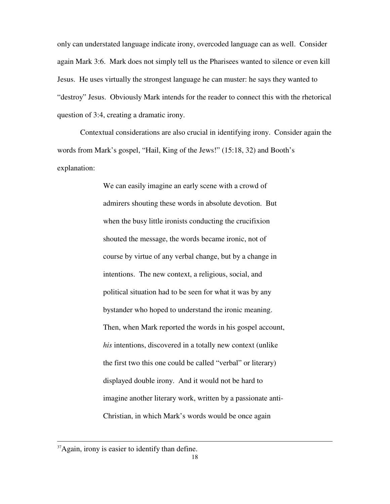only can understated language indicate irony, overcoded language can as well. Consider again Mark 3:6. Mark does not simply tell us the Pharisees wanted to silence or even kill Jesus. He uses virtually the strongest language he can muster: he says they wanted to "destroy" Jesus. Obviously Mark intends for the reader to connect this with the rhetorical question of 3:4, creating a dramatic irony.

 Contextual considerations are also crucial in identifying irony. Consider again the words from Mark's gospel, "Hail, King of the Jews!" (15:18, 32) and Booth's explanation:

> We can easily imagine an early scene with a crowd of admirers shouting these words in absolute devotion. But when the busy little ironists conducting the crucifixion shouted the message, the words became ironic, not of course by virtue of any verbal change, but by a change in intentions. The new context, a religious, social, and political situation had to be seen for what it was by any bystander who hoped to understand the ironic meaning. Then, when Mark reported the words in his gospel account, *his* intentions, discovered in a totally new context (unlike the first two this one could be called "verbal" or literary) displayed double irony. And it would not be hard to imagine another literary work, written by a passionate anti-Christian, in which Mark's words would be once again

<sup>&</sup>lt;sup>37</sup>Again, irony is easier to identify than define.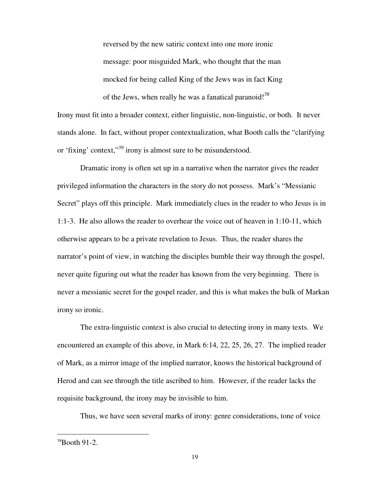reversed by the new satiric context into one more ironic message: poor misguided Mark, who thought that the man mocked for being called King of the Jews was in fact King of the Jews, when really he was a fanatical paranoid!<sup>38</sup>

Irony must fit into a broader context, either linguistic, non-linguistic, or both. It never stands alone. In fact, without proper contextualization, what Booth calls the "clarifying or 'fixing' context,"<sup>39</sup> irony is almost sure to be misunderstood.

 Dramatic irony is often set up in a narrative when the narrator gives the reader privileged information the characters in the story do not possess. Mark's "Messianic Secret" plays off this principle. Mark immediately clues in the reader to who Jesus is in 1:1-3. He also allows the reader to overhear the voice out of heaven in 1:10-11, which otherwise appears to be a private revelation to Jesus. Thus, the reader shares the narrator's point of view, in watching the disciples bumble their way through the gospel, never quite figuring out what the reader has known from the very beginning. There is never a messianic secret for the gospel reader, and this is what makes the bulk of Markan irony so ironic.

 The extra-linguistic context is also crucial to detecting irony in many texts. We encountered an example of this above, in Mark 6:14, 22, 25, 26, 27. The implied reader of Mark, as a mirror image of the implied narrator, knows the historical background of Herod and can see through the title ascribed to him. However, if the reader lacks the requisite background, the irony may be invisible to him.

Thus, we have seen several marks of irony: genre considerations, tone of voice

 $38$ Booth 91-2.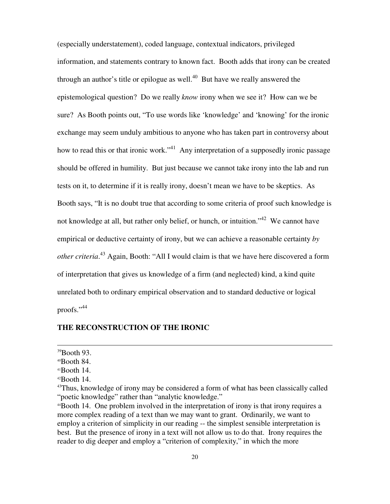(especially understatement), coded language, contextual indicators, privileged information, and statements contrary to known fact. Booth adds that irony can be created through an author's title or epilogue as well. $40$  But have we really answered the epistemological question? Do we really *know* irony when we see it? How can we be sure? As Booth points out, "To use words like 'knowledge' and 'knowing' for the ironic exchange may seem unduly ambitious to anyone who has taken part in controversy about how to read this or that ironic work."<sup>41</sup> Any interpretation of a supposedly ironic passage should be offered in humility. But just because we cannot take irony into the lab and run tests on it, to determine if it is really irony, doesn't mean we have to be skeptics. As Booth says, "It is no doubt true that according to some criteria of proof such knowledge is not knowledge at all, but rather only belief, or hunch, or intuition.<sup>42</sup> We cannot have empirical or deductive certainty of irony, but we can achieve a reasonable certainty *by other criteria*. <sup>43</sup> Again, Booth: "All I would claim is that we have here discovered a form of interpretation that gives us knowledge of a firm (and neglected) kind, a kind quite unrelated both to ordinary empirical observation and to standard deductive or logical proofs."<sup>44</sup>

#### **THE RECONSTRUCTION OF THE IRONIC**

j

 $39$ Booth 93.

 $40$ Booth 84.

<sup>41</sup>Booth 14.

<sup>42</sup>Booth 14.

<sup>&</sup>lt;sup>43</sup>Thus, knowledge of irony may be considered a form of what has been classically called "poetic knowledge" rather than "analytic knowledge."

<sup>44</sup>Booth 14. One problem involved in the interpretation of irony is that irony requires a more complex reading of a text than we may want to grant. Ordinarily, we want to employ a criterion of simplicity in our reading -- the simplest sensible interpretation is best. But the presence of irony in a text will not allow us to do that. Irony requires the reader to dig deeper and employ a "criterion of complexity," in which the more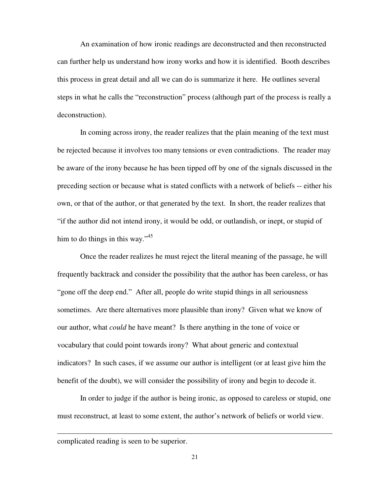An examination of how ironic readings are deconstructed and then reconstructed can further help us understand how irony works and how it is identified. Booth describes this process in great detail and all we can do is summarize it here. He outlines several steps in what he calls the "reconstruction" process (although part of the process is really a deconstruction).

 In coming across irony, the reader realizes that the plain meaning of the text must be rejected because it involves too many tensions or even contradictions. The reader may be aware of the irony because he has been tipped off by one of the signals discussed in the preceding section or because what is stated conflicts with a network of beliefs -- either his own, or that of the author, or that generated by the text. In short, the reader realizes that "if the author did not intend irony, it would be odd, or outlandish, or inept, or stupid of him to do things in this way."<sup>45</sup>

 Once the reader realizes he must reject the literal meaning of the passage, he will frequently backtrack and consider the possibility that the author has been careless, or has "gone off the deep end." After all, people do write stupid things in all seriousness sometimes. Are there alternatives more plausible than irony? Given what we know of our author, what *could* he have meant? Is there anything in the tone of voice or vocabulary that could point towards irony? What about generic and contextual indicators? In such cases, if we assume our author is intelligent (or at least give him the benefit of the doubt), we will consider the possibility of irony and begin to decode it.

 In order to judge if the author is being ironic, as opposed to careless or stupid, one must reconstruct, at least to some extent, the author's network of beliefs or world view.

l

complicated reading is seen to be superior.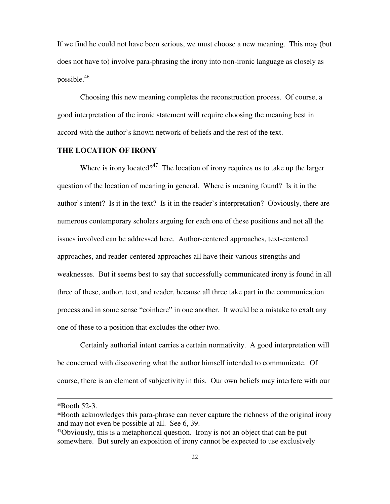If we find he could not have been serious, we must choose a new meaning. This may (but does not have to) involve para-phrasing the irony into non-ironic language as closely as possible.<sup>46</sup>

 Choosing this new meaning completes the reconstruction process. Of course, a good interpretation of the ironic statement will require choosing the meaning best in accord with the author's known network of beliefs and the rest of the text.

#### **THE LOCATION OF IRONY**

Where is irony located?<sup>47</sup> The location of irony requires us to take up the larger question of the location of meaning in general. Where is meaning found? Is it in the author's intent? Is it in the text? Is it in the reader's interpretation? Obviously, there are numerous contemporary scholars arguing for each one of these positions and not all the issues involved can be addressed here. Author-centered approaches, text-centered approaches, and reader-centered approaches all have their various strengths and weaknesses. But it seems best to say that successfully communicated irony is found in all three of these, author, text, and reader, because all three take part in the communication process and in some sense "coinhere" in one another. It would be a mistake to exalt any one of these to a position that excludes the other two.

 Certainly authorial intent carries a certain normativity. A good interpretation will be concerned with discovering what the author himself intended to communicate. Of course, there is an element of subjectivity in this. Our own beliefs may interfere with our

<sup>45</sup>Booth 52-3.

<sup>46</sup>Booth acknowledges this para-phrase can never capture the richness of the original irony and may not even be possible at all. See 6, 39.

 $47$ Obviously, this is a metaphorical question. Irony is not an object that can be put somewhere. But surely an exposition of irony cannot be expected to use exclusively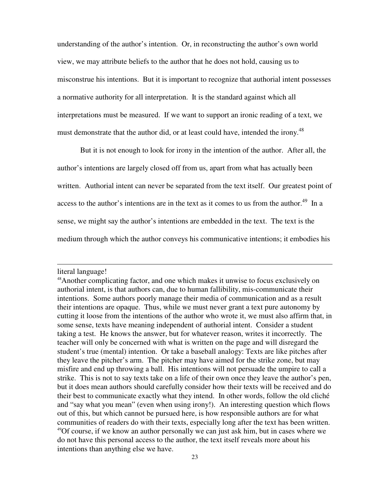understanding of the author's intention. Or, in reconstructing the author's own world view, we may attribute beliefs to the author that he does not hold, causing us to misconstrue his intentions. But it is important to recognize that authorial intent possesses a normative authority for all interpretation. It is the standard against which all interpretations must be measured. If we want to support an ironic reading of a text, we must demonstrate that the author did, or at least could have, intended the irony.<sup>48</sup>

 But it is not enough to look for irony in the intention of the author. After all, the author's intentions are largely closed off from us, apart from what has actually been written. Authorial intent can never be separated from the text itself. Our greatest point of access to the author's intentions are in the text as it comes to us from the author.<sup>49</sup> In a sense, we might say the author's intentions are embedded in the text. The text is the medium through which the author conveys his communicative intentions; it embodies his

literal language!

<sup>48</sup>Another complicating factor, and one which makes it unwise to focus exclusively on authorial intent, is that authors can, due to human fallibility, mis-communicate their intentions. Some authors poorly manage their media of communication and as a result their intentions are opaque. Thus, while we must never grant a text pure autonomy by cutting it loose from the intentions of the author who wrote it, we must also affirm that, in some sense, texts have meaning independent of authorial intent. Consider a student taking a test. He knows the answer, but for whatever reason, writes it incorrectly. The teacher will only be concerned with what is written on the page and will disregard the student's true (mental) intention. Or take a baseball analogy: Texts are like pitches after they leave the pitcher's arm. The pitcher may have aimed for the strike zone, but may misfire and end up throwing a ball. His intentions will not persuade the umpire to call a strike. This is not to say texts take on a life of their own once they leave the author's pen, but it does mean authors should carefully consider how their texts will be received and do their best to communicate exactly what they intend. In other words, follow the old cliché and "say what you mean" (even when using irony!). An interesting question which flows out of this, but which cannot be pursued here, is how responsible authors are for what communities of readers do with their texts, especially long after the text has been written. <sup>49</sup>Of course, if we know an author personally we can just ask him, but in cases where we do not have this personal access to the author, the text itself reveals more about his intentions than anything else we have.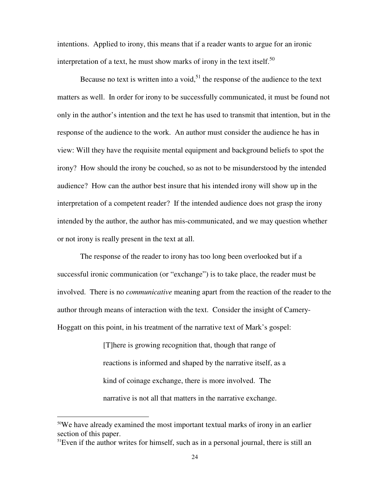intentions. Applied to irony, this means that if a reader wants to argue for an ironic interpretation of a text, he must show marks of irony in the text itself.<sup>50</sup>

Because no text is written into a void,  $5<sup>1</sup>$  the response of the audience to the text matters as well. In order for irony to be successfully communicated, it must be found not only in the author's intention and the text he has used to transmit that intention, but in the response of the audience to the work. An author must consider the audience he has in view: Will they have the requisite mental equipment and background beliefs to spot the irony? How should the irony be couched, so as not to be misunderstood by the intended audience? How can the author best insure that his intended irony will show up in the interpretation of a competent reader? If the intended audience does not grasp the irony intended by the author, the author has mis-communicated, and we may question whether or not irony is really present in the text at all.

 The response of the reader to irony has too long been overlooked but if a successful ironic communication (or "exchange") is to take place, the reader must be involved. There is no *communicative* meaning apart from the reaction of the reader to the author through means of interaction with the text. Consider the insight of Camery-Hoggatt on this point, in his treatment of the narrative text of Mark's gospel:

> [T]here is growing recognition that, though that range of reactions is informed and shaped by the narrative itself, as a kind of coinage exchange, there is more involved. The narrative is not all that matters in the narrative exchange.

 $50$ We have already examined the most important textual marks of irony in an earlier section of this paper.

<sup>&</sup>lt;sup>51</sup>Even if the author writes for himself, such as in a personal journal, there is still an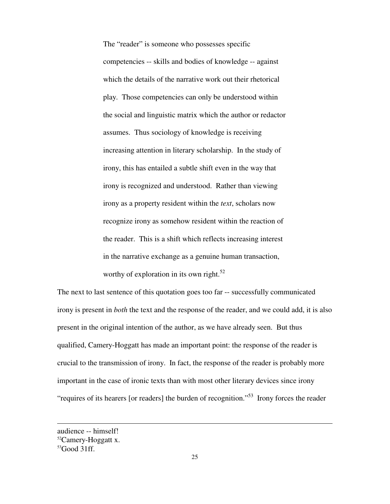The "reader" is someone who possesses specific competencies -- skills and bodies of knowledge -- against which the details of the narrative work out their rhetorical play. Those competencies can only be understood within the social and linguistic matrix which the author or redactor assumes. Thus sociology of knowledge is receiving increasing attention in literary scholarship. In the study of irony, this has entailed a subtle shift even in the way that irony is recognized and understood. Rather than viewing irony as a property resident within the *text*, scholars now recognize irony as somehow resident within the reaction of the reader. This is a shift which reflects increasing interest in the narrative exchange as a genuine human transaction, worthy of exploration in its own right.<sup>52</sup>

The next to last sentence of this quotation goes too far -- successfully communicated irony is present in *both* the text and the response of the reader, and we could add, it is also present in the original intention of the author, as we have already seen. But thus qualified, Camery-Hoggatt has made an important point: the response of the reader is crucial to the transmission of irony. In fact, the response of the reader is probably more important in the case of ironic texts than with most other literary devices since irony "requires of its hearers [or readers] the burden of recognition."<sup>53</sup> Irony forces the reader

audience -- himself!

<sup>&</sup>lt;sup>52</sup>Camery-Hoggatt x.

 $53$ Good 31ff.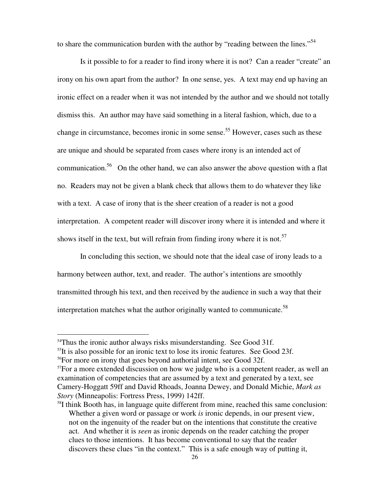to share the communication burden with the author by "reading between the lines."<sup>54</sup>

 Is it possible to for a reader to find irony where it is not? Can a reader "create" an irony on his own apart from the author? In one sense, yes. A text may end up having an ironic effect on a reader when it was not intended by the author and we should not totally dismiss this. An author may have said something in a literal fashion, which, due to a change in circumstance, becomes ironic in some sense.<sup>55</sup> However, cases such as these are unique and should be separated from cases where irony is an intended act of communication.<sup>56</sup> On the other hand, we can also answer the above question with a flat no. Readers may not be given a blank check that allows them to do whatever they like with a text. A case of irony that is the sheer creation of a reader is not a good interpretation. A competent reader will discover irony where it is intended and where it shows itself in the text, but will refrain from finding irony where it is not.<sup>57</sup>

 In concluding this section, we should note that the ideal case of irony leads to a harmony between author, text, and reader. The author's intentions are smoothly transmitted through his text, and then received by the audience in such a way that their interpretation matches what the author originally wanted to communicate.<sup>58</sup>

<sup>&</sup>lt;sup>54</sup>Thus the ironic author always risks misunderstanding. See Good 31f.

 $55$ It is also possible for an ironic text to lose its ironic features. See Good 23f.

<sup>56</sup>For more on irony that goes beyond authorial intent, see Good 32f.

<sup>&</sup>lt;sup>57</sup>For a more extended discussion on how we judge who is a competent reader, as well an examination of competencies that are assumed by a text and generated by a text, see Camery-Hoggatt 59ff and David Rhoads, Joanna Dewey, and Donald Michie, *Mark as Story* (Minneapolis: Fortress Press, 1999) 142ff.

 $58I$  think Booth has, in language quite different from mine, reached this same conclusion: Whether a given word or passage or work *is* ironic depends, in our present view, not on the ingenuity of the reader but on the intentions that constitute the creative act. And whether it is *seen* as ironic depends on the reader catching the proper clues to those intentions. It has become conventional to say that the reader discovers these clues "in the context." This is a safe enough way of putting it,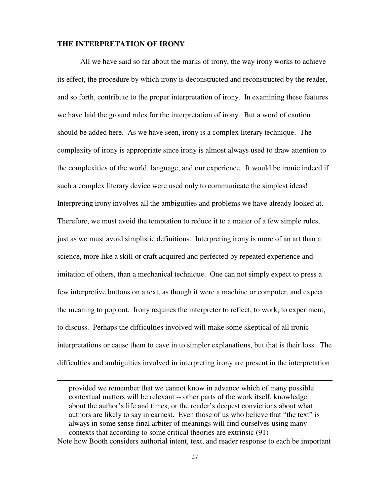#### **THE INTERPRETATION OF IRONY**

-

 All we have said so far about the marks of irony, the way irony works to achieve its effect, the procedure by which irony is deconstructed and reconstructed by the reader, and so forth, contribute to the proper interpretation of irony. In examining these features we have laid the ground rules for the interpretation of irony. But a word of caution should be added here. As we have seen, irony is a complex literary technique. The complexity of irony is appropriate since irony is almost always used to draw attention to the complexities of the world, language, and our experience. It would be ironic indeed if such a complex literary device were used only to communicate the simplest ideas! Interpreting irony involves all the ambiguities and problems we have already looked at. Therefore, we must avoid the temptation to reduce it to a matter of a few simple rules, just as we must avoid simplistic definitions. Interpreting irony is more of an art than a science, more like a skill or craft acquired and perfected by repeated experience and imitation of others, than a mechanical technique. One can not simply expect to press a few interpretive buttons on a text, as though it were a machine or computer, and expect the meaning to pop out. Irony requires the interpreter to reflect, to work, to experiment, to discuss. Perhaps the difficulties involved will make some skeptical of all ironic interpretations or cause them to cave in to simpler explanations, but that is their loss. The difficulties and ambiguities involved in interpreting irony are present in the interpretation

provided we remember that we cannot know in advance which of many possible contextual matters will be relevant -- other parts of the work itself, knowledge about the author's life and times, or the reader's deepest convictions about what authors are likely to say in earnest. Even those of us who believe that "the text" is always in some sense final arbiter of meanings will find ourselves using many contexts that according to some critical theories are extrinsic (91) Note how Booth considers authorial intent, text, and reader response to each be important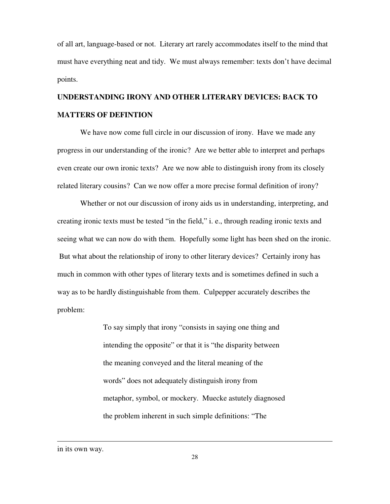of all art, language-based or not. Literary art rarely accommodates itself to the mind that must have everything neat and tidy. We must always remember: texts don't have decimal points.

## **UNDERSTANDING IRONY AND OTHER LITERARY DEVICES: BACK TO MATTERS OF DEFINTION**

 We have now come full circle in our discussion of irony. Have we made any progress in our understanding of the ironic? Are we better able to interpret and perhaps even create our own ironic texts? Are we now able to distinguish irony from its closely related literary cousins? Can we now offer a more precise formal definition of irony?

 Whether or not our discussion of irony aids us in understanding, interpreting, and creating ironic texts must be tested "in the field," i. e., through reading ironic texts and seeing what we can now do with them. Hopefully some light has been shed on the ironic. But what about the relationship of irony to other literary devices? Certainly irony has much in common with other types of literary texts and is sometimes defined in such a way as to be hardly distinguishable from them. Culpepper accurately describes the problem:

> To say simply that irony "consists in saying one thing and intending the opposite" or that it is "the disparity between the meaning conveyed and the literal meaning of the words" does not adequately distinguish irony from metaphor, symbol, or mockery. Muecke astutely diagnosed the problem inherent in such simple definitions: "The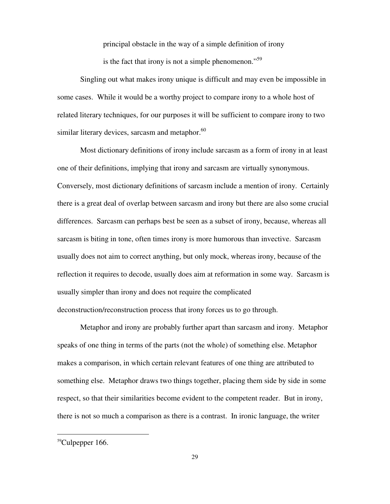principal obstacle in the way of a simple definition of irony

is the fact that irony is not a simple phenomenon. $\cdot^{59}$ 

 Singling out what makes irony unique is difficult and may even be impossible in some cases. While it would be a worthy project to compare irony to a whole host of related literary techniques, for our purposes it will be sufficient to compare irony to two similar literary devices, sarcasm and metaphor. $60^\circ$ 

 Most dictionary definitions of irony include sarcasm as a form of irony in at least one of their definitions, implying that irony and sarcasm are virtually synonymous. Conversely, most dictionary definitions of sarcasm include a mention of irony. Certainly there is a great deal of overlap between sarcasm and irony but there are also some crucial differences. Sarcasm can perhaps best be seen as a subset of irony, because, whereas all sarcasm is biting in tone, often times irony is more humorous than invective. Sarcasm usually does not aim to correct anything, but only mock, whereas irony, because of the reflection it requires to decode, usually does aim at reformation in some way. Sarcasm is usually simpler than irony and does not require the complicated deconstruction/reconstruction process that irony forces us to go through.

 Metaphor and irony are probably further apart than sarcasm and irony. Metaphor speaks of one thing in terms of the parts (not the whole) of something else. Metaphor makes a comparison, in which certain relevant features of one thing are attributed to something else. Metaphor draws two things together, placing them side by side in some respect, so that their similarities become evident to the competent reader. But in irony, there is not so much a comparison as there is a contrast. In ironic language, the writer

 $59$ Culpepper 166.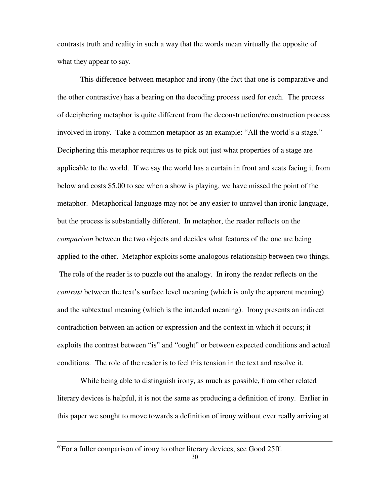contrasts truth and reality in such a way that the words mean virtually the opposite of what they appear to say.

 This difference between metaphor and irony (the fact that one is comparative and the other contrastive) has a bearing on the decoding process used for each. The process of deciphering metaphor is quite different from the deconstruction/reconstruction process involved in irony. Take a common metaphor as an example: "All the world's a stage." Deciphering this metaphor requires us to pick out just what properties of a stage are applicable to the world. If we say the world has a curtain in front and seats facing it from below and costs \$5.00 to see when a show is playing, we have missed the point of the metaphor. Metaphorical language may not be any easier to unravel than ironic language, but the process is substantially different. In metaphor, the reader reflects on the *comparison* between the two objects and decides what features of the one are being applied to the other. Metaphor exploits some analogous relationship between two things. The role of the reader is to puzzle out the analogy. In irony the reader reflects on the *contrast* between the text's surface level meaning (which is only the apparent meaning) and the subtextual meaning (which is the intended meaning). Irony presents an indirect contradiction between an action or expression and the context in which it occurs; it exploits the contrast between "is" and "ought" or between expected conditions and actual conditions. The role of the reader is to feel this tension in the text and resolve it.

 While being able to distinguish irony, as much as possible, from other related literary devices is helpful, it is not the same as producing a definition of irony. Earlier in this paper we sought to move towards a definition of irony without ever really arriving at

<sup>60</sup>For a fuller comparison of irony to other literary devices, see Good 25ff.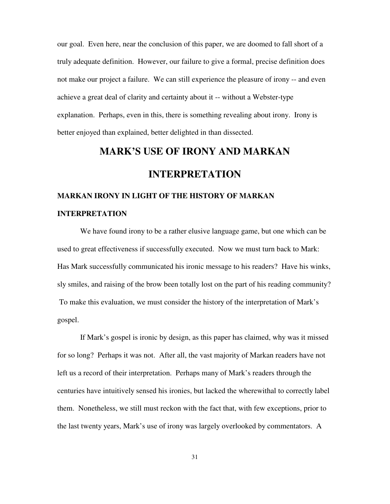our goal. Even here, near the conclusion of this paper, we are doomed to fall short of a truly adequate definition. However, our failure to give a formal, precise definition does not make our project a failure. We can still experience the pleasure of irony -- and even achieve a great deal of clarity and certainty about it -- without a Webster-type explanation. Perhaps, even in this, there is something revealing about irony. Irony is better enjoyed than explained, better delighted in than dissected.

## **MARK'S USE OF IRONY AND MARKAN**

## **INTERPRETATION**

# **MARKAN IRONY IN LIGHT OF THE HISTORY OF MARKAN INTERPRETATION**

 We have found irony to be a rather elusive language game, but one which can be used to great effectiveness if successfully executed. Now we must turn back to Mark: Has Mark successfully communicated his ironic message to his readers? Have his winks, sly smiles, and raising of the brow been totally lost on the part of his reading community? To make this evaluation, we must consider the history of the interpretation of Mark's gospel.

 If Mark's gospel is ironic by design, as this paper has claimed, why was it missed for so long? Perhaps it was not. After all, the vast majority of Markan readers have not left us a record of their interpretation. Perhaps many of Mark's readers through the centuries have intuitively sensed his ironies, but lacked the wherewithal to correctly label them. Nonetheless, we still must reckon with the fact that, with few exceptions, prior to the last twenty years, Mark's use of irony was largely overlooked by commentators. A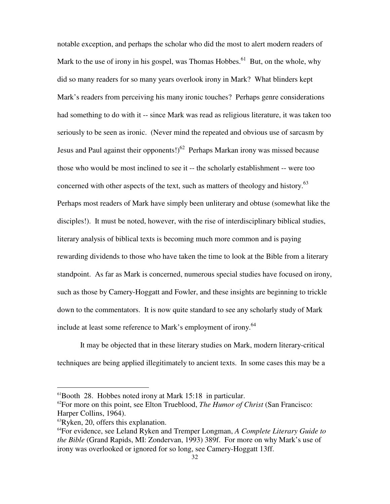notable exception, and perhaps the scholar who did the most to alert modern readers of Mark to the use of irony in his gospel, was Thomas Hobbes.<sup>61</sup> But, on the whole, why did so many readers for so many years overlook irony in Mark? What blinders kept Mark's readers from perceiving his many ironic touches? Perhaps genre considerations had something to do with it -- since Mark was read as religious literature, it was taken too seriously to be seen as ironic.(Never mind the repeated and obvious use of sarcasm by Jesus and Paul against their opponents!)<sup>62</sup> Perhaps Markan irony was missed because those who would be most inclined to see it -- the scholarly establishment -- were too concerned with other aspects of the text, such as matters of theology and history.<sup>63</sup> Perhaps most readers of Mark have simply been unliterary and obtuse (somewhat like the disciples!). It must be noted, however, with the rise of interdisciplinary biblical studies, literary analysis of biblical texts is becoming much more common and is paying rewarding dividends to those who have taken the time to look at the Bible from a literary standpoint. As far as Mark is concerned, numerous special studies have focused on irony, such as those by Camery-Hoggatt and Fowler, and these insights are beginning to trickle down to the commentators.It is now quite standard to see any scholarly study of Mark include at least some reference to Mark's employment of irony.<sup>64</sup>

 It may be objected that in these literary studies on Mark, modern literary-critical techniques are being applied illegitimately to ancient texts. In some cases this may be a

<sup>61</sup>Booth 28. Hobbes noted irony at Mark 15:18 in particular.

<sup>62</sup>For more on this point, see Elton Trueblood, *The Humor of Christ* (San Francisco: Harper Collins, 1964).

<sup>&</sup>lt;sup>63</sup>Ryken, 20, offers this explanation.

<sup>64</sup>For evidence, see Leland Ryken and Tremper Longman, *A Complete Literary Guide to the Bible* (Grand Rapids, MI: Zondervan, 1993) 389f. For more on why Mark's use of irony was overlooked or ignored for so long, see Camery-Hoggatt 13ff.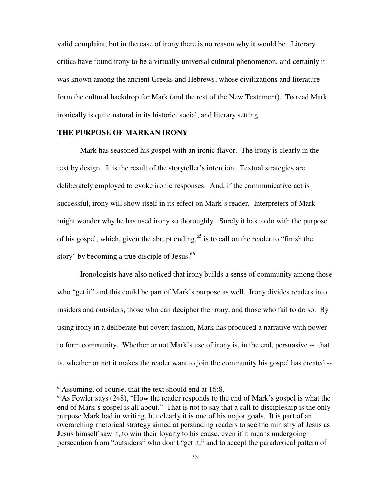valid complaint, but in the case of irony there is no reason why it would be. Literary critics have found irony to be a virtually universal cultural phenomenon, and certainly it was known among the ancient Greeks and Hebrews, whose civilizations and literature form the cultural backdrop for Mark (and the rest of the New Testament).To read Mark ironically is quite natural in its historic, social, and literary setting.

#### **THE PURPOSE OF MARKAN IRONY**

 Mark has seasoned his gospel with an ironic flavor. The irony is clearly in the text by design. It is the result of the storyteller's intention. Textual strategies are deliberately employed to evoke ironic responses. And, if the communicative act is successful, irony will show itself in its effect on Mark's reader. Interpreters of Mark might wonder why he has used irony so thoroughly. Surely it has to do with the purpose of his gospel, which, given the abrupt ending, $65$  is to call on the reader to "finish the story" by becoming a true disciple of Jesus.<sup>66</sup>

 Ironologists have also noticed that irony builds a sense of community among those who "get it" and this could be part of Mark's purpose as well. Irony divides readers into insiders and outsiders, those who can decipher the irony, and those who fail to do so. By using irony in a deliberate but covert fashion, Mark has produced a narrative with power to form community. Whether or not Mark's use of irony is, in the end, persuasive -- that is, whether or not it makes the reader want to join the community his gospel has created --

<sup>&</sup>lt;sup>65</sup>Assuming, of course, that the text should end at 16:8.

<sup>66</sup>As Fowler says (248), "How the reader responds to the end of Mark's gospel is what the end of Mark's gospel is all about." That is not to say that a call to discipleship is the only purpose Mark had in writing, but clearly it is one of his major goals. It is part of an overarching rhetorical strategy aimed at persuading readers to see the ministry of Jesus as Jesus himself saw it, to win their loyalty to his cause, even if it means undergoing persecution from "outsiders" who don't "get it," and to accept the paradoxical pattern of